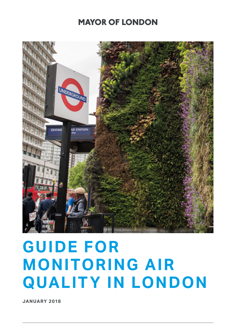### **MAYOR OF LONDON**



### **GUIDE FOR MONITORING AIR QUALITY IN LONDON**

**JANUARY 2018**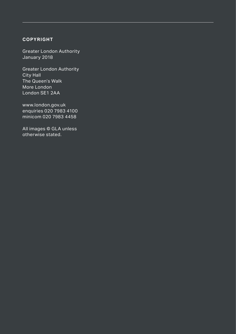#### **COPYRIGHT**

Greater London Authority January 2018

Greater London Authority City Hall The Queen's Walk More London London SE1 2AA

www.london.gov.uk enquiries 020 7983 4100 minicom 020 7983 4458

All images © GLA unless otherwise stated.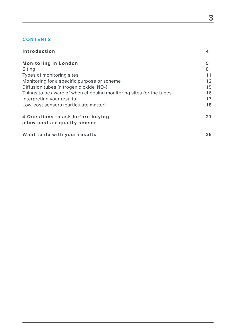#### **CONTENTS**

| Introduction                                                       | 4  |
|--------------------------------------------------------------------|----|
| <b>Monitoring in London</b>                                        | 5  |
| Siting                                                             | 8  |
| Types of monitoring sites                                          | 11 |
| Monitoring for a specific purpose or scheme                        | 12 |
| Diffusion tubes (nitrogen dioxide, $NO2$ )                         | 15 |
| Things to be aware of when choosing monitoring sites for the tubes | 16 |
| Interpreting your results                                          | 17 |
| Low-cost sensors (particulate matter)                              | 18 |
| 4 Questions to ask before buying<br>a low cost air quality sensor  | 21 |
| What to do with your results                                       | 26 |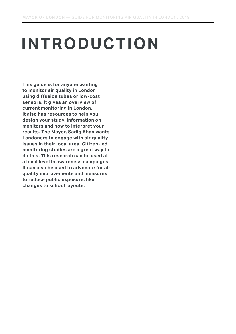## **INTRODUCTION**

**This guide is for anyone wanting to monitor air quality in London using diffusion tubes or low-cost sensors. It gives an overview of current monitoring in London. It also has resources to help you design your study, information on monitors and how to interpret your results. The Mayor, Sadiq Khan wants Londoners to engage with air quality issues in their local area. Citizen-led monitoring studies are a great way to do this. This research can be used at a local level in awareness campaigns. It can also be used to advocate for air quality improvements and measures to reduce public exposure, like changes to school layouts.**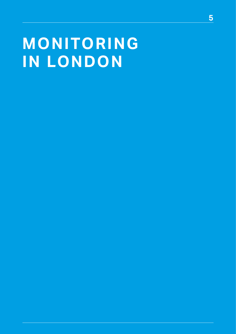### **MONITORING IN LONDON**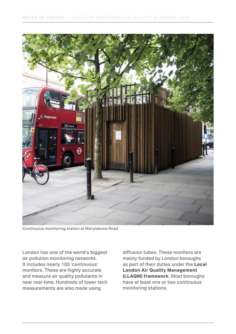

Continuous monitoring station at Marylebone Road

London has one of the world's biggest air pollution monitoring networks. It includes nearly 100 'continuous' monitors. These are highly accurate and measure air quality pollutants in near real-time. Hundreds of lower tech measurements are also made using

diffusion tubes. These monitors are mainly funded by London boroughs as part of their duties under the **[Local](https://www.london.gov.uk/sites/default/files/llaqm_policy_guidance_llaqm.pg_16.pdf)  [London Air Quality Management](https://www.london.gov.uk/sites/default/files/llaqm_policy_guidance_llaqm.pg_16.pdf)  [\(LLAQM\) framework](https://www.london.gov.uk/sites/default/files/llaqm_policy_guidance_llaqm.pg_16.pdf)**. Most boroughs have at least one or two continuous monitoring stations.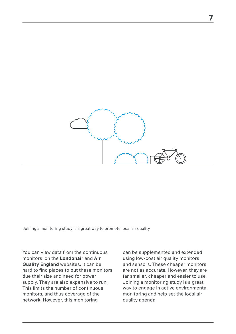

Joining a monitoring study is a great way to promote local air quality

You can view data from the continuous monitors on the **[Londonair](https://www.londonair.org.uk/LondonAir/Default.aspx)** and **[Air](http://www.airqualityengland.co.uk/)  [Quality England](http://www.airqualityengland.co.uk/)** websites. It can be hard to find places to put these monitors due their size and need for power supply. They are also expensive to run. This limits the number of continuous monitors, and thus coverage of the network. However, this monitoring

can be supplemented and extended using low-cost air quality monitors and sensors. These cheaper monitors are not as accurate. However, they are far smaller, cheaper and easier to use. Joining a monitoring study is a great way to engage in active environmental monitoring and help set the local air quality agenda.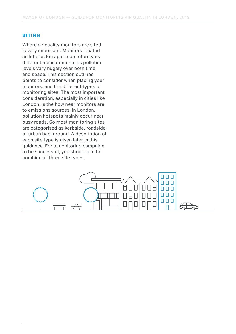#### **SITING**

Where air quality monitors are sited is very important. Monitors located as little as 5m apart can return very different measurements as pollution levels vary hugely over both time and space. This section outlines points to consider when placing your monitors, and the different types of monitoring sites. The most important consideration, especially in cities like London, is the how near monitors are to emissions sources. In London, pollution hotspots mainly occur near busy roads. So most monitoring sites are categorised as kerbside, roadside or urban background. A description of each site type is given later in this guidance. For a monitoring campaign to be successful, you should aim to combine all three site types.

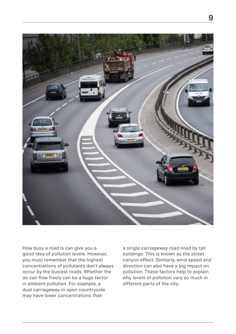

How busy a road is can give you a good idea of pollution levels. However, you must remember that the highest concentrations of pollutants don't always occur by the busiest roads. Whether the air can flow freely can be a huge factor in ambient pollution. For example, a dual carriageway in open countryside may have lower concentrations than

a single carriageway road lined by tall buildings. This is known as the street canyon effect. Similarly, wind speed and direction can also have a big impact on pollution. These factors help to explain why levels of pollution vary so much in different parts of the city.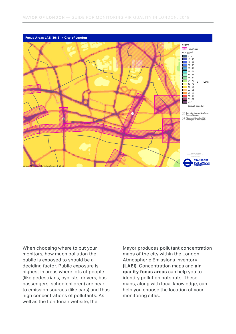

When choosing where to put your monitors, how much pollution the public is exposed to should be a deciding factor. Public exposure is highest in areas where lots of people (like pedestrians, cyclists, drivers, bus passengers, schoolchildren) are near to emission sources (like cars) and thus high concentrations of pollutants. As well as the Londonair website, the

Mayor produces pollutant concentration maps of the city within the London Atmospheric Emissions Inventory **[\(LAEI\)](https://data.london.gov.uk/dataset/london-atmospheric-emissions-inventory-2013)**. Concentration maps and **[air](https://data.london.gov.uk/dataset/laei-2013-london-focus-areas)  [quality focus areas](https://data.london.gov.uk/dataset/laei-2013-london-focus-areas)** can help you to identify pollution hotspots. These maps, along with local knowledge, can help you choose the location of your monitoring sites.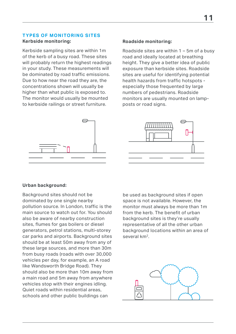#### **TYPES OF MONITORING SITES Kerbside monitoring:**

Kerbside sampling sites are within 1m of the kerb of a busy road. These sites will probably return the highest readings in your study. These measurements will be dominated by road traffic emissions. Due to how near the road they are, the concentrations shown will usually be higher than what public is exposed to. The monitor would usually be mounted to kerbside railings or street furniture.

# $\mathop{=}\,$

#### **Roadside monitoring:**

Roadside sites are within 1 – 5m of a busy road and ideally located at breathing height. They give a better idea of public exposure than kerbside sites. Roadside sites are useful for identifying potential health hazards from traffic hotspots especially those frequented by large numbers of pedestrians. Roadside monitors are usually mounted on lampposts or road signs.



#### **Urban background:**

Background sites should not be dominated by one single nearby pollution source. In London, traffic is the main source to watch out for. You should also be aware of nearby construction sites, flumes for gas boilers or diesel generators, petrol stations, multi-storey car parks and airports. Background sites should be at least 50m away from any of these large sources, and more than 30m from busy roads (roads with over 30,000 vehicles per day, for example, an A road like Wandsworth Bridge Road). They should also be more than 10m away from a main road and 5m away from anywhere vehicles stop with their engines idling. Quiet roads within residential areas, schools and other public buildings can

be used as background sites if open space is not available. However, the monitor must always be more than 1m from the kerb. The benefit of urban background sites is they're usually representative of all the other urban background locations within an area of several km2.

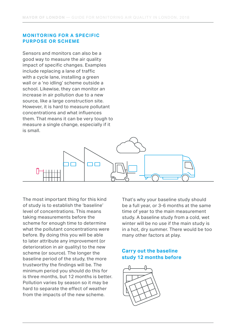#### **MONITORING FOR A SPECIFIC PURPOSE OR SCHEME**

Sensors and monitors can also be a good way to measure the air quality impact of specific changes. Examples include replacing a lane of traffic with a cycle lane, installing a green wall or a 'no idling' scheme outside a school. Likewise, they can monitor an increase in air pollution due to a new source, like a large construction site. However, it is hard to measure pollutant concentrations and what influences them. That means it can be very tough to measure a single change, especially if it is small.



The most important thing for this kind of study is to establish the 'baseline' level of concentrations. This means taking measurements before the scheme for enough time to determine what the pollutant concentrations were before. By doing this you will be able to later attribute any improvement (or deterioration in air quality) to the new scheme (or source). The longer the baseline period of the study, the more trustworthy the findings will be. The minimum period you should do this for is three months, but 12 months is better. Pollution varies by season so it may be hard to separate the effect of weather from the impacts of the new scheme.

That's why your baseline study should be a full year, or 3-6 months at the same time of year to the main measurement study. A baseline study from a cold, wet winter will be no use if the main study is in a hot, dry summer. There would be too many other factors at play.

#### **Carry out the baseline study 12 months before**

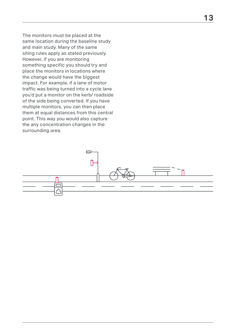The monitors must be placed at the same location during the baseline study and main study. Many of the same siting rules apply as stated previously. However, if you are monitoring something specific you should try and place the monitors in locations where the change would have the biggest impact. For example, if a lane of motor traffic was being turned into a cycle lane you'd put a monitor on the kerb/ roadside of the side being converted. If you have multiple monitors, you can then place them at equal distances from this central point. This way you would also capture the any concentration changes in the surrounding area.

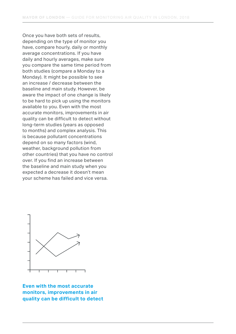Once you have both sets of results, depending on the type of monitor you have, compare hourly, daily or monthly average concentrations. If you have daily and hourly averages, make sure you compare the same time period from both studies (compare a Monday to a Monday). It might be possible to see an increase / decrease between the baseline and main study. However, be aware the impact of one change is likely to be hard to pick up using the monitors available to you. Even with the most accurate monitors, improvements in air quality can be difficult to detect without long-term studies (years as opposed to months) and complex analysis. This is because pollutant concentrations depend on so many factors (wind, weather, background pollution from other countries) that you have no control over. If you find an increase between the baseline and main study when you expected a decrease it doesn't mean your scheme has failed and vice versa.



**Even with the most accurate monitors, improvements in air quality can be difficult to detect**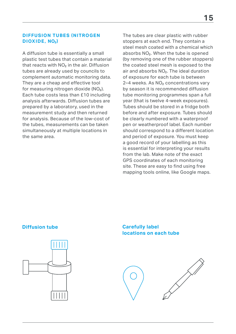#### **DIFFUSION TUBES (NITROGEN) DIOXIDE, NO2)**

A diffusion tube is essentially a small plastic test tubes that contain a material that reacts with  $NO<sub>2</sub>$  in the air. Diffusion tubes are already used by councils to complement automatic monitoring data. They are a cheap and effective tool for measuring nitrogen dioxide  $(NO<sub>2</sub>)$ . Each tube costs less than £10 including analysis afterwards. Diffusion tubes are prepared by a laboratory, used in the measurement study and then returned for analysis. Because of the low-cost of the tubes, measurements can be taken simultaneously at multiple locations in the same area.

The tubes are clear plastic with rubber stoppers at each end. They contain a steel mesh coated with a chemical which absorbs NO<sub>2</sub>. When the tube is opened (by removing one of the rubber stoppers) the coated steel mesh is exposed to the air and absorbs  $NO<sub>2</sub>$ . The ideal duration of exposure for each tube is between 2-4 weeks. As NO<sub>2</sub> concentrations vary by season it is recommended diffusion tube monitoring programmes span a full year (that is twelve 4-week exposures). Tubes should be stored in a fridge both before and after exposure. Tubes should be clearly numbered with a waterproof pen or weatherproof label. Each number should correspond to a different location and period of exposure. You must keep a good record of your labelling as this is essential for interpreting your results from the lab. Make note of the exact GPS coordinates of each monitoring site. These are easy to find using free mapping tools online, like Google maps.

#### **Diffusion tube**



#### **Carefully label locations on each tube**

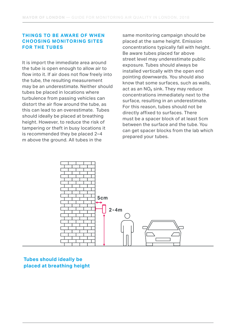#### **THINGS TO BE AWARE OF WHEN CHOOSING MONITORING SITES FOR THE TUBES**

It is import the immediate area around the tube is open enough to allow air to flow into it. If air does not flow freely into the tube, the resulting measurement may be an underestimate. Neither should tubes be placed in locations where turbulence from passing vehicles can distort the air flow around the tube, as this can lead to an overestimate. Tubes should ideally be placed at breathing height. However, to reduce the risk of tampering or theft in busy locations it is recommended they be placed 2–4 m above the ground. All tubes in the

same monitoring campaign should be placed at the same height. Emission concentrations typically fall with height. Be aware tubes placed far above street level may underestimate public exposure. Tubes should always be installed vertically with the open end pointing downwards. You should also know that some surfaces, such as walls, act as an  $NO<sub>2</sub>$  sink. They may reduce concentrations immediately next to the surface, resulting in an underestimate. For this reason, tubes should not be directly affixed to surfaces. There must be a spacer block of at least 5cm between the surface and the tube. You can get spacer blocks from the lab which prepared your tubes.



#### **Tubes should ideally be placed at breathing height**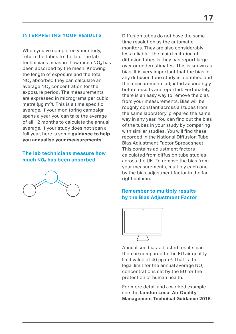#### **INTERPRETING YOUR RESULTS**

When you've completed your study, return the tubes to the lab. The lab technicians measure how much  $NO<sub>2</sub>$  has been absorbed by the mesh. Knowing the length of exposure and the total NO<sub>2</sub> absorbed they can calculate an average NO<sub>2</sub> concentration for the exposure period. The measurements are expressed in micrograms per cubic metre ( $\mu$ g m<sup>-3</sup>). This is a time specific average. If your monitoring campaign spans a year you can take the average of all 12 months to calculate the annual average. If your study does not span a full year, here is some **[guidance to help](https://www.london.gov.uk/sites/default/files/llaqm_technical_guidance_llaqm.tg_16.pdf)  [you annualise your measurements](https://www.london.gov.uk/sites/default/files/llaqm_technical_guidance_llaqm.tg_16.pdf)**.

#### **The lab technicians measure how much NO2 has been absorbed**



Diffusion tubes do not have the same time resolution as the automatic monitors. They are also considerably less reliable. The main limitation of diffusion tubes is they can report large over or underestimates. This is known as bias. It is very important that the bias in any diffusion tube study is identified and the measurements adjusted accordingly before results are reported. Fortunately, there is an easy way to remove the bias from your measurements. Bias will be roughly constant across all tubes from the same laboratory, prepared the same way in any year. You can find out the bias of the tubes in your study by comparing with similar studies. You will find these recorded in the National Diffusion Tube Bias Adjustment Factor Spreadsheet. This contains adjustment factors calculated from diffusion tube studies across the UK. To remove the bias from your measurements, multiply each one by the bias adjustment factor in the farright column.

#### **Remember to multiply results by the Bias Adjustment Factor**



Annualised bias-adjusted results can then be compared to the EU air quality limit value of 40  $\mu$ g m<sup>-3</sup>. That is the legal limit for the annual average  $NO<sub>2</sub>$ concentrations set by the EU for the protection of human health.

For more detail and a worked example see the **[London Local Air Quality](https://www.london.gov.uk/sites/default/files/llaqm_technical_guidance_llaqm.tg_16.pdf)  [Management Technical Guidance 2016](https://www.london.gov.uk/sites/default/files/llaqm_technical_guidance_llaqm.tg_16.pdf)**.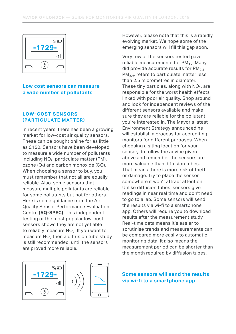

#### **Low cost sensors can measure a wide number of pollutants**

#### **LOW-COST SENSORS (PARTICULATE MATTER)**

In recent years, there has been a growing market for low-cost air quality sensors. These can be bought online for as little as £150. Sensors have been developed to measure a wide number of pollutants including  $NO<sub>2</sub>$ , particulate matter (PM), ozone  $(O_3)$  and carbon monoxide  $(CO)$ . When choosing a sensor to buy, you must remember that not all are equally reliable. Also, some sensors that measure multiple pollutants are reliable for some pollutants but not for others. Here is some guidance from the Air Quality Sensor Performance Evaluation Centre **[\(AQ-SPEC\)](http://www.aqmd.gov/aq-spec/home)**. This independent testing of the most popular low-cost sensors shows they are not yet able to reliably measure  $NO<sub>2</sub>$ . If you want to measure  $NO<sub>2</sub>$  then a diffusion tube study is still recommended, until the sensors are proved more reliable.



However, please note that this is a rapidly evolving market. We hope some of the emerging sensors will fill this gap soon.

Very few of the sensors tested gave reliable measurements for  $PM_{10}$ . Many did provide accurate results for  $PM<sub>2.5</sub>$ . PM<sub>2.5</sub>, refers to particulate matter less than 2.5 micrometres in diameter. These tiny particles, along with  $NO<sub>2</sub>$ , are responsible for the worst health effects linked with poor air quality. Shop around and look for independent reviews of the different sensors available and make sure they are reliable for the pollutant you're interested in. The Mayor's latest Environment Strategy announced he will establish a process for accrediting monitors for different purposes. When choosing a siting location for your sensor, do follow the advice given above and remember the sensors are more valuable than diffusion tubes. That means there is more risk of theft or damage. Try to place the sensor somewhere it won't attract attention. Unlike diffusion tubes, sensors give readings in near real time and don't need to go to a lab. Some sensors will send the results via wi-fi to a smartphone app. Others will require you to download results after the measurement study. Real-time data means it's easier to scrutinise trends and measurements can be compared more easily to automatic monitoring data. It also means the measurement period can be shorter than the month required by diffusion tubes.

**Some sensors will send the results via wi-fi to a smartphone app**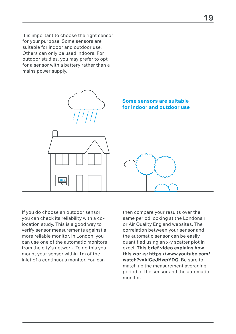It is important to choose the right sensor for your purpose. Some sensors are suitable for indoor and outdoor use. Others can only be used indoors. For outdoor studies, you may prefer to opt for a sensor with a battery rather than a mains power supply.



If you do choose an outdoor sensor you can check its reliability with a colocation study. This is a good way to verify sensor measurements against a more reliable monitor. In London, you can use one of the automatic monitors from the city's network. To do this you mount your sensor within 1m of the inlet of a continuous monitor. You can

then compare your results over the same period looking at the Londonair or Air Quality England websites. The correlation between your sensor and the automatic sensor can be easily quantified using an x-y scatter plot in excel. **This brief video explains how this works: https://www.youtube.com/ watch?v=kiCeJHwpYDQ.** Be sure to match up the measurement averaging period of the sensor and the automatic monitor.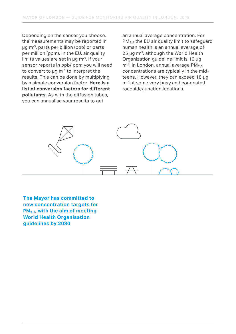Depending on the sensor you choose, the measurements may be reported in µg m-3, parts per billion (ppb) or parts per million (ppm). In the EU, air quality limits values are set in  $\mu$ g m<sup>-3</sup>. If your sensor reports in ppb/ ppm you will need to convert to  $\mu q$  m<sup>-3</sup> to interpret the results. This can be done by multiplying by a simple conversion factor. **[Here is a](https://uk-air.defra.gov.uk/assets/documents/reports/cat06/0502160851_Conversion_Factors_Between_ppb_and.pdf)  [list of conversion factors for different](https://uk-air.defra.gov.uk/assets/documents/reports/cat06/0502160851_Conversion_Factors_Between_ppb_and.pdf)  [pollutants.](https://uk-air.defra.gov.uk/assets/documents/reports/cat06/0502160851_Conversion_Factors_Between_ppb_and.pdf)** As with the diffusion tubes, you can annualise your results to get

an annual average concentration. For PM<sub>2.5</sub> the EU air quality limit to safeguard human health is an annual average of 25 ug m<sup>-3</sup>, although the World Health Organization quideline limit is 10 ug  $m<sup>-3</sup>$ . In London, annual average PM<sub>2.5</sub> concentrations are typically in the midteens. However, they can exceed 18 µg m<sup>-3</sup> at some very busy and congested roadside/junction locations.



**The Mayor has committed to new concentration targets for PM2.5, with the aim of meeting World Health Organisation guidelines by 2030**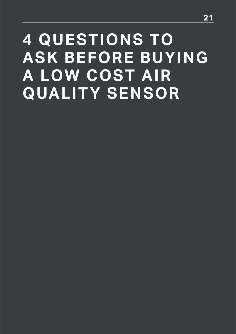### **4 QUESTIONS TO ASK BEFORE BUYING A LOW COST AIR QUALITY SENSOR**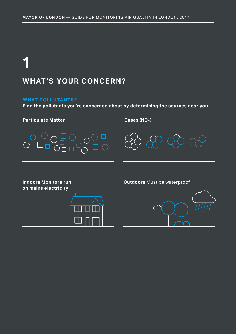### **WHAT'S YOUR CONCERN? 1**

#### **WHAT POLLUTANTS?**

**Find the pollutants you're concerned about by determining the sources near you**

**Particulate Matter**

Gases (NO<sub>2</sub>)



**on mains electricity**



**Indoors Monitors run Cutdoors** Must be waterproof

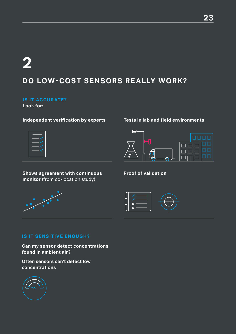### **2**

#### **DO LOW-COST SENSORS REALLY WORK?**

#### **IS IT ACCURATE?**

**Look for:**

#### **Independent verification by experts**

#### **Tests in lab and field environments**

 $\ominus$ 



**Shows agreement with continuous Proof of validation monitor** (from co-location study)





П

#### **IS IT SENSITIVE ENOUGH?**

**Can my sensor detect concentrations found in ambient air?**

**Often sensors can't detect low concentrations**



חחחח

ooo

n n r

 $\Box$ 

ם ם

пп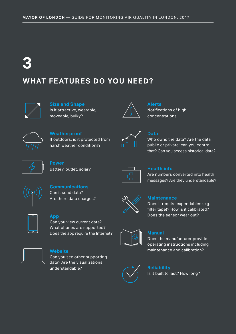### **3**

#### **WHAT FEATURES DO YOU NEED?**



**Size and Shape** Is it attractive, wearable, moveable, bulky?



**Alerts** Notifications of high concentrations



#### **Weatherproof** If outdoors, is it protected from harsh weather conditions?



#### **Data**

Who owns the data? Are the data public or private; can you control that? Can you access historical data?



**Power** Battery, outlet, solar?



#### **Health info**

Are numbers converted into health messages? Are they understandable?



**Communications** Can it send data? Are there data charges?



#### **App**

Can you view current data? What phones are supported? Does the app require the Internet?



#### **Website**

Can you see other supporting data? Are the visualizations understandable?



#### **Maintenance**

Does it require expendables (e.g. filter tape)? How is it calibrated? Does the sensor wear out?

| $\overline{\phantom{a}}$<br>$\parallel$ |
|-----------------------------------------|
|                                         |

#### **Manual**

Does the manufacturer provide operating instructions including maintenance and calibration?



#### **Reliability**

Is it built to last? How long?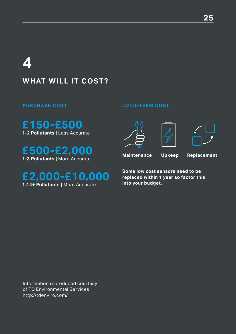### **4**

#### **WHAT WILL IT COST?**

**£150-£500 1-2 Pollutants |** Less Accurate

**£500-£2,000 1-3 Pollutants |** More Accurate

**£2,000-£10,000 1 / 4+ Pollutants |** More Accurate

#### **PURCHASE COST LONG-TERM COST**



**Maintenance Upkeep Replacement**

**Some low cost sensors need to be replaced within 1 year so factor this into your budget.**

Information reproduced courtesy of TD Environmental Services http://tdenviro.com/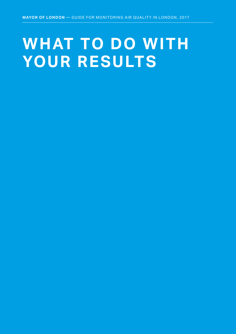### **WHAT TO DO WITH YOUR RESULTS**